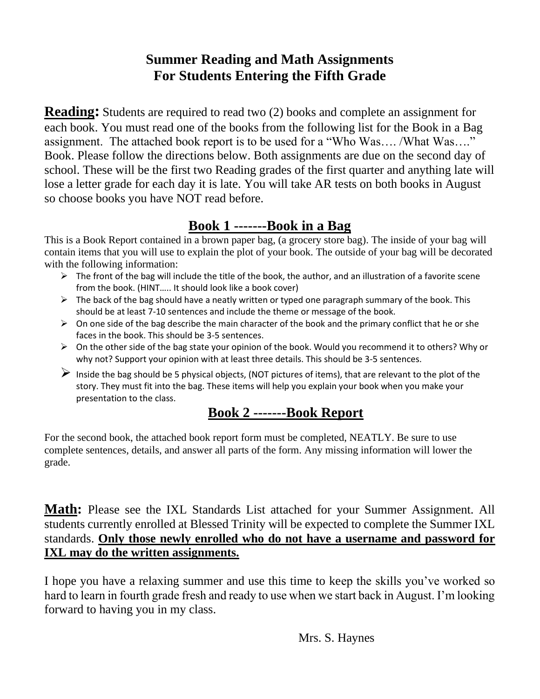## **Summer Reading and Math Assignments For Students Entering the Fifth Grade**

**Reading**: Students are required to read two (2) books and complete an assignment for each book. You must read one of the books from the following list for the Book in a Bag assignment. The attached book report is to be used for a "Who Was…. /What Was…." Book. Please follow the directions below. Both assignments are due on the second day of school. These will be the first two Reading grades of the first quarter and anything late will lose a letter grade for each day it is late. You will take AR tests on both books in August so choose books you have NOT read before.

## **Book 1 -------Book in a Bag**

This is a Book Report contained in a brown paper bag, (a grocery store bag). The inside of your bag will contain items that you will use to explain the plot of your book. The outside of your bag will be decorated with the following information:

- ➢ The front of the bag will include the title of the book, the author, and an illustration of a favorite scene from the book. (HINT….. It should look like a book cover)
- $\triangleright$  The back of the bag should have a neatly written or typed one paragraph summary of the book. This should be at least 7-10 sentences and include the theme or message of the book.
- $\triangleright$  On one side of the bag describe the main character of the book and the primary conflict that he or she faces in the book. This should be 3-5 sentences.
- $\triangleright$  On the other side of the bag state your opinion of the book. Would you recommend it to others? Why or why not? Support your opinion with at least three details. This should be 3-5 sentences.
- $\triangleright$  Inside the bag should be 5 physical objects, (NOT pictures of items), that are relevant to the plot of the story. They must fit into the bag. These items will help you explain your book when you make your presentation to the class.

## **Book 2 -------Book Report**

For the second book, the attached book report form must be completed, NEATLY. Be sure to use complete sentences, details, and answer all parts of the form. Any missing information will lower the grade.

**Math:** Please see the IXL Standards List attached for your Summer Assignment. All students currently enrolled at Blessed Trinity will be expected to complete the Summer IXL standards. **Only those newly enrolled who do not have a username and password for IXL may do the written assignments.** 

I hope you have a relaxing summer and use this time to keep the skills you've worked so hard to learn in fourth grade fresh and ready to use when we start back in August. I'm looking forward to having you in my class.